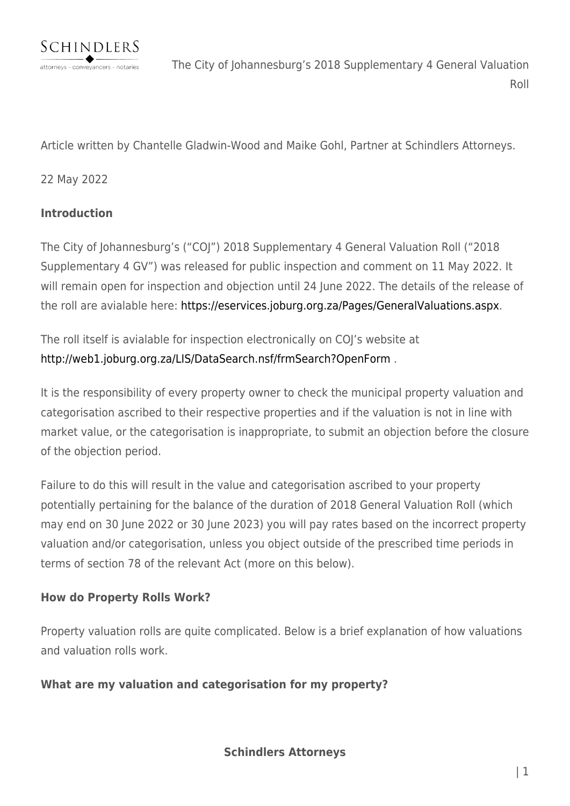

The City of Johannesburg's 2018 Supplementary 4 General Valuation Roll

Article written by Chantelle Gladwin-Wood and Maike Gohl, Partner at Schindlers Attorneys.

#### 22 May 2022

#### **Introduction**

The City of Johannesburg's ("COJ") 2018 Supplementary 4 General Valuation Roll ("2018 Supplementary 4 GV") was released for public inspection and comment on 11 May 2022. It will remain open for inspection and objection until 24 June 2022. The details of the release of the roll are avialable here: [https://eservices.joburg.org.za/Pages/GeneralValuations.aspx.](https://eservices.joburg.org.za/Pages/GeneralValuations.aspx)

The roll itself is avialable for inspection electronically on COJ's website at <http://web1.joburg.org.za/LIS/DataSearch.nsf/frmSearch?OpenForm> .

It is the responsibility of every property owner to check the municipal property valuation and categorisation ascribed to their respective properties and if the valuation is not in line with market value, or the categorisation is inappropriate, to submit an objection before the closure of the objection period.

Failure to do this will result in the value and categorisation ascribed to your property potentially pertaining for the balance of the duration of 2018 General Valuation Roll (which may end on 30 June 2022 or 30 June 2023) you will pay rates based on the incorrect property valuation and/or categorisation, unless you object outside of the prescribed time periods in terms of section 78 of the relevant Act (more on this below).

#### **How do Property Rolls Work?**

Property valuation rolls are quite complicated. Below is a brief explanation of how valuations and valuation rolls work.

#### **What are my valuation and categorisation for my property?**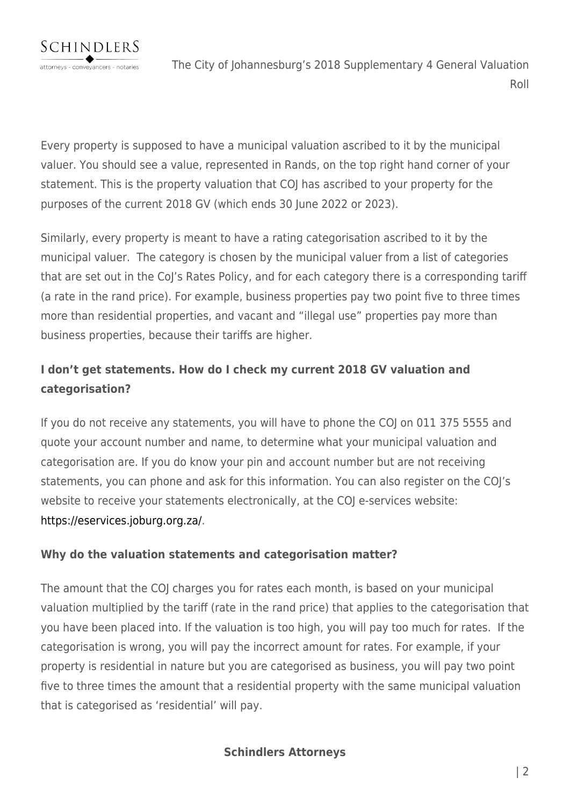Every property is supposed to have a municipal valuation ascribed to it by the municipal valuer. You should see a value, represented in Rands, on the top right hand corner of your statement. This is the property valuation that COJ has ascribed to your property for the purposes of the current 2018 GV (which ends 30 June 2022 or 2023).

Similarly, every property is meant to have a rating categorisation ascribed to it by the municipal valuer. The category is chosen by the municipal valuer from a list of categories that are set out in the CoJ's Rates Policy, and for each category there is a corresponding tariff (a rate in the rand price). For example, business properties pay two point five to three times more than residential properties, and vacant and "illegal use" properties pay more than business properties, because their tariffs are higher.

# **I don't get statements. How do I check my current 2018 GV valuation and categorisation?**

If you do not receive any statements, you will have to phone the COJ on 011 375 5555 and quote your account number and name, to determine what your municipal valuation and categorisation are. If you do know your pin and account number but are not receiving statements, you can phone and ask for this information. You can also register on the COJ's website to receive your statements electronically, at the COJ e-services website: [https://eservices.joburg.org.za/.](https://eservices.joburg.org.za/)

# **Why do the valuation statements and categorisation matter?**

The amount that the COJ charges you for rates each month, is based on your municipal valuation multiplied by the tariff (rate in the rand price) that applies to the categorisation that you have been placed into. If the valuation is too high, you will pay too much for rates. If the categorisation is wrong, you will pay the incorrect amount for rates. For example, if your property is residential in nature but you are categorised as business, you will pay two point five to three times the amount that a residential property with the same municipal valuation that is categorised as 'residential' will pay.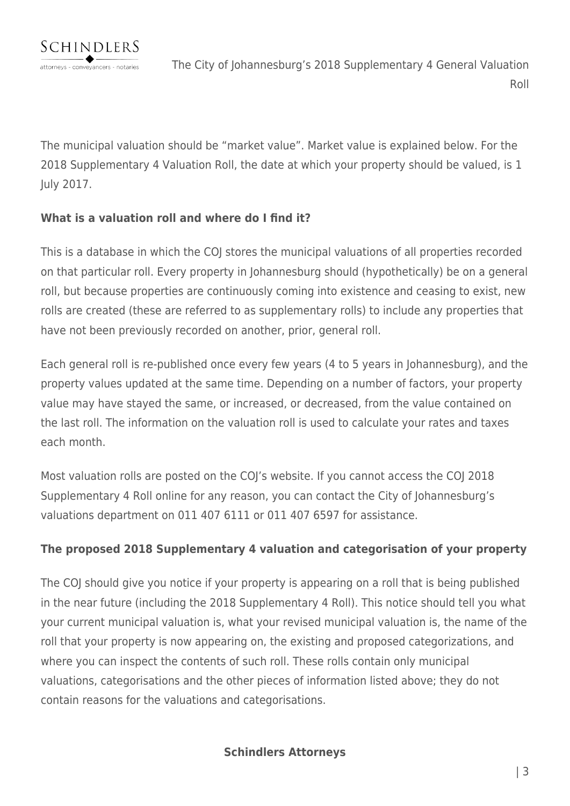The municipal valuation should be "market value". Market value is explained below. For the 2018 Supplementary 4 Valuation Roll, the date at which your property should be valued, is 1 July 2017.

# **What is a valuation roll and where do I find it?**

This is a database in which the COJ stores the municipal valuations of all properties recorded on that particular roll. Every property in Johannesburg should (hypothetically) be on a general roll, but because properties are continuously coming into existence and ceasing to exist, new rolls are created (these are referred to as supplementary rolls) to include any properties that have not been previously recorded on another, prior, general roll.

Each general roll is re-published once every few years (4 to 5 years in Johannesburg), and the property values updated at the same time. Depending on a number of factors, your property value may have stayed the same, or increased, or decreased, from the value contained on the last roll. The information on the valuation roll is used to calculate your rates and taxes each month.

Most valuation rolls are posted on the COJ's website. If you cannot access the COJ 2018 Supplementary 4 Roll online for any reason, you can contact the City of Johannesburg's valuations department on 011 407 6111 or 011 407 6597 for assistance.

# **The proposed 2018 Supplementary 4 valuation and categorisation of your property**

The COJ should give you notice if your property is appearing on a roll that is being published in the near future (including the 2018 Supplementary 4 Roll). This notice should tell you what your current municipal valuation is, what your revised municipal valuation is, the name of the roll that your property is now appearing on, the existing and proposed categorizations, and where you can inspect the contents of such roll. These rolls contain only municipal valuations, categorisations and the other pieces of information listed above; they do not contain reasons for the valuations and categorisations.

**Schindlers Attorneys**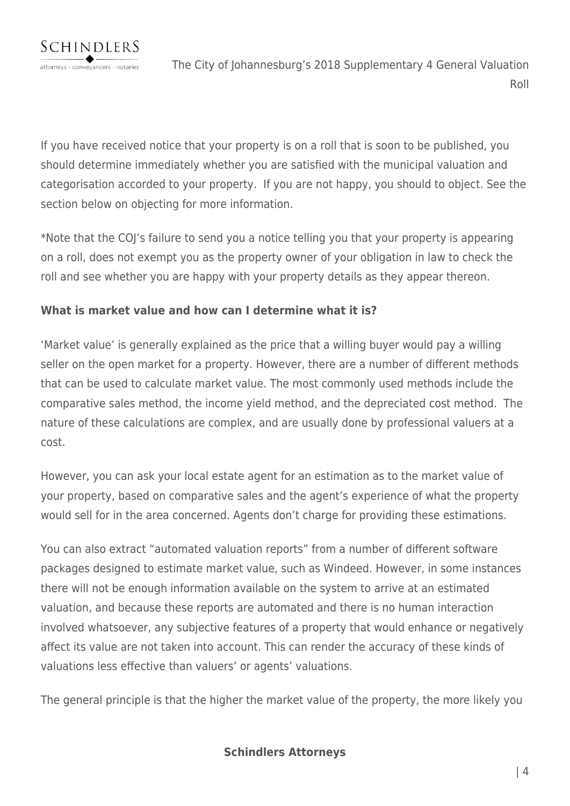

If you have received notice that your property is on a roll that is soon to be published, you should determine immediately whether you are satisfied with the municipal valuation and categorisation accorded to your property. If you are not happy, you should to object. See the section below on objecting for more information.

\*Note that the COJ's failure to send you a notice telling you that your property is appearing on a roll, does not exempt you as the property owner of your obligation in law to check the roll and see whether you are happy with your property details as they appear thereon.

## **What is market value and how can I determine what it is?**

'Market value' is generally explained as the price that a willing buyer would pay a willing seller on the open market for a property. However, there are a number of different methods that can be used to calculate market value. The most commonly used methods include the comparative sales method, the income yield method, and the depreciated cost method. The nature of these calculations are complex, and are usually done by professional valuers at a cost.

However, you can ask your local estate agent for an estimation as to the market value of your property, based on comparative sales and the agent's experience of what the property would sell for in the area concerned. Agents don't charge for providing these estimations.

You can also extract "automated valuation reports" from a number of different software packages designed to estimate market value, such as Windeed. However, in some instances there will not be enough information available on the system to arrive at an estimated valuation, and because these reports are automated and there is no human interaction involved whatsoever, any subjective features of a property that would enhance or negatively affect its value are not taken into account. This can render the accuracy of these kinds of valuations less effective than valuers' or agents' valuations.

The general principle is that the higher the market value of the property, the more likely you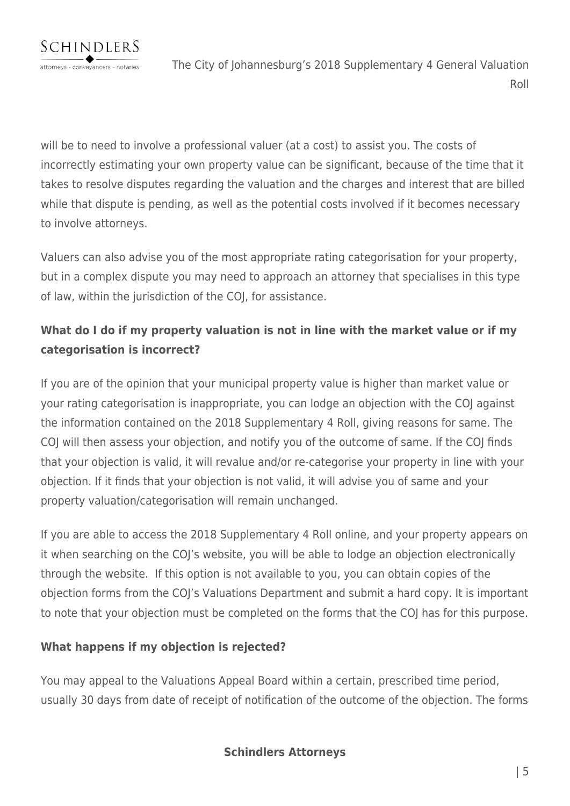will be to need to involve a professional valuer (at a cost) to assist you. The costs of incorrectly estimating your own property value can be significant, because of the time that it takes to resolve disputes regarding the valuation and the charges and interest that are billed while that dispute is pending, as well as the potential costs involved if it becomes necessary to involve attorneys.

Valuers can also advise you of the most appropriate rating categorisation for your property, but in a complex dispute you may need to approach an attorney that specialises in this type of law, within the jurisdiction of the COJ, for assistance.

# **What do I do if my property valuation is not in line with the market value or if my categorisation is incorrect?**

If you are of the opinion that your municipal property value is higher than market value or your rating categorisation is inappropriate, you can lodge an objection with the COJ against the information contained on the 2018 Supplementary 4 Roll, giving reasons for same. The COJ will then assess your objection, and notify you of the outcome of same. If the COJ finds that your objection is valid, it will revalue and/or re-categorise your property in line with your objection. If it finds that your objection is not valid, it will advise you of same and your property valuation/categorisation will remain unchanged.

If you are able to access the 2018 Supplementary 4 Roll online, and your property appears on it when searching on the COJ's website, you will be able to lodge an objection electronically through the website. If this option is not available to you, you can obtain copies of the objection forms from the COJ's Valuations Department and submit a hard copy. It is important to note that your objection must be completed on the forms that the COJ has for this purpose.

# **What happens if my objection is rejected?**

You may appeal to the Valuations Appeal Board within a certain, prescribed time period, usually 30 days from date of receipt of notification of the outcome of the objection. The forms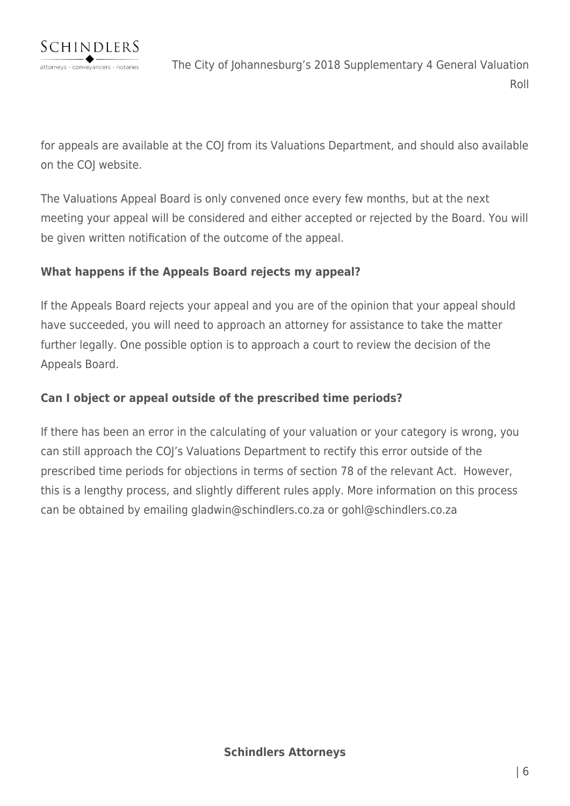

for appeals are available at the COJ from its Valuations Department, and should also available on the COJ website.

The Valuations Appeal Board is only convened once every few months, but at the next meeting your appeal will be considered and either accepted or rejected by the Board. You will be given written notification of the outcome of the appeal.

## **What happens if the Appeals Board rejects my appeal?**

If the Appeals Board rejects your appeal and you are of the opinion that your appeal should have succeeded, you will need to approach an attorney for assistance to take the matter further legally. One possible option is to approach a court to review the decision of the Appeals Board.

## **Can I object or appeal outside of the prescribed time periods?**

If there has been an error in the calculating of your valuation or your category is wrong, you can still approach the COJ's Valuations Department to rectify this error outside of the prescribed time periods for objections in terms of section 78 of the relevant Act. However, this is a lengthy process, and slightly different rules apply. More information on this process can be obtained by emailing gladwin@schindlers.co.za or gohl@schindlers.co.za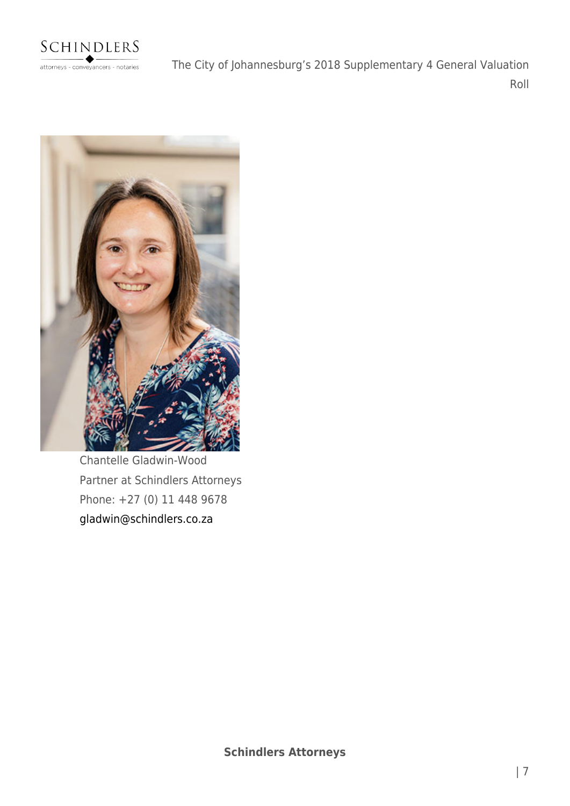

The City of Johannesburg's 2018 Supplementary 4 General Valuation Roll



Chantelle Gladwin-Wood Partner at Schindlers Attorneys Phone: +27 (0) 11 448 9678 [gladwin@schindlers.co.za](mailto:gladwin@schindlers.co.za)